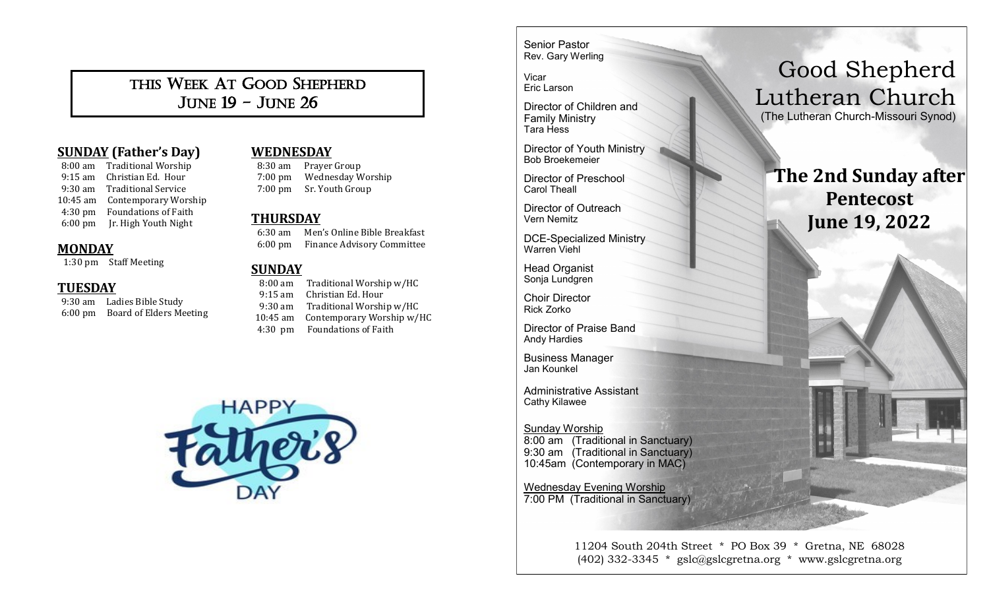# THIS WEEK AT GOOD SHEPHERD JUNE 19 - JUNE 26

# **SUNDAY (Father's Day)**

 8:00 am Traditional Worship 9:15 am Christian Ed. Hour 9:30 am Traditional Service 10:45 am Contemporary Worship 4:30 pm Foundations of Faith 6:00 pm Jr. High Youth Night

#### **MONDAY**

1:30 pm Staff Meeting

#### **TUESDAY**

 9:30 am Ladies Bible Study 6:00 pm Board of Elders Meeting

# **WEDNESDAY**

 8:30 am Prayer Group 7:00 pm Wednesday Worship 7:00 pm Sr. Youth Group

#### **THURSDAY**

 6:30 am Men's Online Bible Breakfast 6:00 pm Finance Advisory Committee

#### **SUNDAY**

 8:00 am Traditional Worship w/HC 9:15 am Christian Ed. Hour 9:30 am Traditional Worship w/HC 10:45 am Contemporary Worship w/HC 4:30 pm Foundations of Faith



Senior Pastor Rev. Gary Werling

Vicar Eric Larson

Director of Children and Family Ministry Tara Hess

Director of Youth Ministry Bob Broekemeier

Director of Preschool Carol Theall

Director of Outreach Vern Nemitz

DCE-Specialized Ministry Warren Viehl

Head Organist Sonja Lundgren

Choir Director Rick Zorko

Director of Praise Band Andy Hardies

Business Manager Jan Kounkel

Administrative Assistant Cathy Kilawee

Sunday Worship 8:00 am (Traditional in Sanctuary) 9:30 am (Traditional in Sanctuary) 10:45am (Contemporary in MAC)

Wednesday Evening Worship 7:00 PM (Traditional in Sanctuary)

> 11204 South 204th Street \* PO Box 39 \* Gretna, NE 68028 (402) 332-3345 \* gslc@gslcgretna.org \* www.gslcgretna.org

# Good Shepherd Lutheran Church

(The Lutheran Church-Missouri Synod)

# **The 2nd Sunday after Pentecost June 19, 2022**

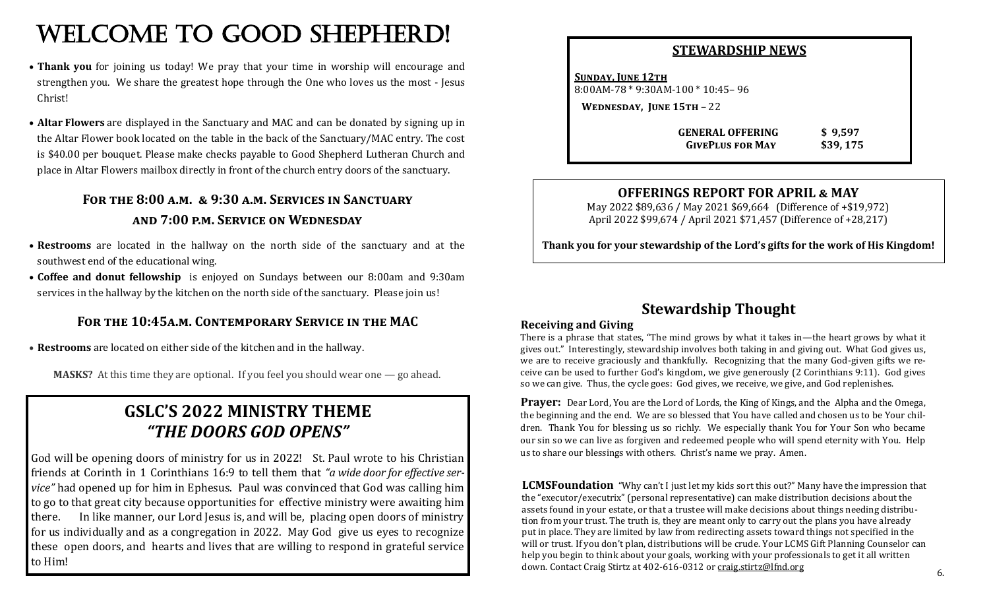# WELCOME TO GOOD SHEPHERD!

- **Thank you** for joining us today! We pray that your time in worship will encourage and strengthen you. We share the greatest hope through the One who loves us the most - Jesus Christ!
- **Altar Flowers** are displayed in the Sanctuary and MAC and can be donated by signing up in the Altar Flower book located on the table in the back of the Sanctuary/MAC entry. The cost is \$40.00 per bouquet. Please make checks payable to Good Shepherd Lutheran Church and place in Altar Flowers mailbox directly in front of the church entry doors of the sanctuary.

# **For the 8:00 a.m. & 9:30 a.m. Services in Sanctuary and 7:00 p.m. Service on Wednesday**

- **Restrooms** are located in the hallway on the north side of the sanctuary and at the southwest end of the educational wing.
- **Coffee and donut fellowship** is enjoyed on Sundays between our 8:00am and 9:30am services in the hallway by the kitchen on the north side of the sanctuary. Please join us!

## **For the 10:45a.m. Contemporary Service in the MAC**

• **Restrooms** are located on either side of the kitchen and in the hallway.

**MASKS?** At this time they are optional. If you feel you should wear one — go ahead.

# **GSLC'S 2022 MINISTRY THEME** *"THE DOORS GOD OPENS"*

God will be opening doors of ministry for us in 2022! St. Paul wrote to his Christian friends at Corinth in 1 Corinthians 16:9 to tell them that *"a wide door for effective service*" had opened up for him in Ephesus. Paul was convinced that God was calling him to go to that great city because opportunities for effective ministry were awaiting him there. In like manner, our Lord Jesus is, and will be, placing open doors of ministry for us individually and as a congregation in 2022. May God give us eyes to recognize these open doors, and hearts and lives that are willing to respond in grateful service to Him!

#### **STEWARDSHIP NEWS**

**SUNDAY, JUNE 12TH** 8:00AM-78 \* 9:30AM-100 \* 10:45– 96

**Wednesday, June 15th –** 22

 **GENERAL OFFERING \$ 9,597 GivePlus for May \$39, 175**

### **OFFERINGS REPORT FOR APRIL & MAY**

May 2022 \$89,636 / May 2021 \$69,664 (Difference of +\$19,972) April 2022 \$99,674 / April 2021 \$71,457 (Difference of +28,217)

**Thank you for your stewardship of the Lord's gifts for the work of His Kingdom!**

# **Stewardship Thought**

#### **Receiving and Giving**

There is a phrase that states, "The mind grows by what it takes in—the heart grows by what it gives out." Interestingly, stewardship involves both taking in and giving out. What God gives us, we are to receive graciously and thankfully. Recognizing that the many God-given gifts we receive can be used to further God's kingdom, we give generously (2 Corinthians 9:11). God gives so we can give. Thus, the cycle goes: God gives, we receive, we give, and God replenishes.

**Prayer:** Dear Lord, You are the Lord of Lords, the King of Kings, and the Alpha and the Omega, the beginning and the end. We are so blessed that You have called and chosen us to be Your children. Thank You for blessing us so richly. We especially thank You for Your Son who became our sin so we can live as forgiven and redeemed people who will spend eternity with You. Help us to share our blessings with others. Christ's name we pray. Amen.

**LCMSFoundation** "Why can't I just let my kids sort this out?" Many have the impression that the "executor/executrix" (personal representative) can make distribution decisions about the assets found in your estate, or that a trustee will make decisions about things needing distribution from your trust. The truth is, they are meant only to carry out the plans you have already put in place. They are limited by law from redirecting assets toward things not specified in the will or trust. If you don't plan, distributions will be crude. Your LCMS Gift Planning Counselor can help you begin to think about your goals, working with your professionals to get it all written down. Contact Craig Stirtz at 402-616-0312 or [craig.stirtz@lfnd.org](mailto:craig.stirtz@lfnd.org)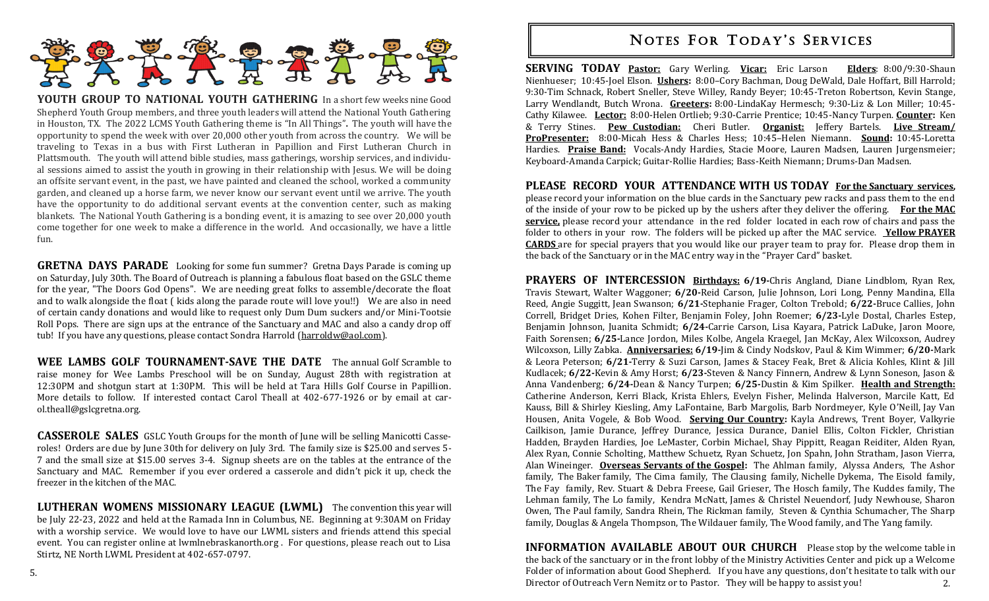

**YOUTH GROUP TO NATIONAL YOUTH GATHERING** In a short few weeks nine Good Shepherd Youth Group members, and three youth leaders will attend the National Youth Gathering in Houston, TX. The 2022 LCMS Youth Gathering theme is "In All Things"**.** The youth will have the opportunity to spend the week with over 20,000 other youth from across the country. We will be traveling to Texas in a bus with First Lutheran in Papillion and First Lutheran Church in Plattsmouth. The youth will attend bible studies, mass gatherings, worship services, and individual sessions aimed to assist the youth in growing in their relationship with Jesus. We will be doing an offsite servant event, in the past, we have painted and cleaned the school, worked a community garden, and cleaned up a horse farm, we never know our servant event until we arrive. The youth have the opportunity to do additional servant events at the convention center, such as making blankets. The National Youth Gathering is a bonding event, it is amazing to see over 20,000 youth come together for one week to make a difference in the world. And occasionally, we have a little fun.

**GRETNA DAYS PARADE** Looking for some fun summer? Gretna Days Parade is coming up on Saturday, July 30th. The Board of Outreach is planning a fabulous float based on the GSLC theme for the year, "The Doors God Opens". We are needing great folks to assemble/decorate the float and to walk alongside the float ( kids along the parade route will love you!!) We are also in need of certain candy donations and would like to request only Dum Dum suckers and/or Mini-Tootsie Roll Pops. There are sign ups at the entrance of the Sanctuary and MAC and also a candy drop off tub! If you have any questions, please contact Sondra Harrold ([harroldw@aol.com\).](mailto:harroldw@aol.com)

**WEE LAMBS GOLF TOURNAMENT-SAVE THE DATE** The annual Golf Scramble to raise money for Wee Lambs Preschool will be on Sunday, August 28th with registration at 12:30PM and shotgun start at 1:30PM. This will be held at Tara Hills Golf Course in Papillion. More details to follow. If interested contact Carol Theall at 402-677-1926 or by email at carol.theall@gslcgretna.org.

**CASSEROLE SALES** GSLC Youth Groups for the month of June will be selling Manicotti Casseroles! Orders are due by June 30th for delivery on July 3rd. The family size is \$25.00 and serves 5- 7 and the small size at \$15.00 serves 3-4. Signup sheets are on the tables at the entrance of the Sanctuary and MAC. Remember if you ever ordered a casserole and didn't pick it up, check the freezer in the kitchen of the MAC.

**LUTHERAN WOMENS MISSIONARY LEAGUE (LWML)** The convention this year will be July 22-23, 2022 and held at the Ramada Inn in Columbus, NE. Beginning at 9:30AM on Friday with a worship service. We would love to have our LWML sisters and friends attend this special event. You can register online at lwmlnebraskanorth.org . For questions, please reach out to Lisa Stirtz, NE North LWML President at 402-657-0797.

# **NOTES FOR TODAY'S SERVICES**

**SERVING TODAY Pastor:** Gary Werling. **Vicar:** Eric Larson **Elders**: 8:00/9:30-Shaun Nienhueser; 10:45-Joel Elson. **Ushers:** 8:00–Cory Bachman, Doug DeWald, Dale Hoffart, Bill Harrold; 9:30-Tim Schnack, Robert Sneller, Steve Willey, Randy Beyer; 10:45-Treton Robertson, Kevin Stange, Larry Wendlandt, Butch Wrona. **Greeters:** 8:00-LindaKay Hermesch; 9:30-Liz & Lon Miller; 10:45- Cathy Kilawee. **Lector:** 8:00-Helen Ortlieb; 9:30-Carrie Prentice; 10:45-Nancy Turpen. **Counter:** Ken & Terry Stines. **Pew Custodian:** Cheri Butler. **Organist:** Jeffery Bartels. **Live Stream/ ProPresenter:** 8:00-Micah Hess & Charles Hess; 10:45–Helen Niemann. **Sound:** 10:45-Loretta Hardies. **Praise Band:** Vocals-Andy Hardies, Stacie Moore, Lauren Madsen, Lauren Jurgensmeier; Keyboard-Amanda Carpick; Guitar-Rollie Hardies; Bass-Keith Niemann; Drums-Dan Madsen.

**PLEASE RECORD YOUR ATTENDANCE WITH US TODAY For the Sanctuary services,**  please record your information on the blue cards in the Sanctuary pew racks and pass them to the end of the inside of your row to be picked up by the ushers after they deliver the offering. **For the MAC service,** please record your attendance in the red folder located in each row of chairs and pass the folder to others in your row. The folders will be picked up after the MAC service. **Yellow PRAYER CARDS** are for special prayers that you would like our prayer team to pray for. Please drop them in the back of the Sanctuary or in the MAC entry way in the "Prayer Card" basket.

**PRAYERS OF INTERCESSION Birthdays: 6/19-**Chris Angland, Diane Lindblom, Ryan Rex, Travis Stewart, Walter Waggoner; **6/20-**Reid Carson, Julie Johnson, Lori Long, Penny Mandina, Ella Reed, Angie Suggitt, Jean Swanson; **6/21-**Stephanie Frager, Colton Trebold; **6/22-**Bruce Callies, John Correll, Bridget Dries, Kohen Filter, Benjamin Foley, John Roemer; **6/23-**Lyle Dostal, Charles Estep, Benjamin Johnson, Juanita Schmidt; **6/24-**Carrie Carson, Lisa Kayara, Patrick LaDuke, Jaron Moore, Faith Sorensen; **6/25-**Lance Jordon, Miles Kolbe, Angela Kraegel, Jan McKay, Alex Wilcoxson, Audrey Wilcoxson, Lilly Zabka. **Anniversaries: 6/19-**Jim & Cindy Nodskov, Paul & Kim Wimmer; **6/20-**Mark & Leora Peterson; **6/21-**Terry & Suzi Carson, James & Stacey Feak, Bret & Alicia Kohles, Klint & Jill Kudlacek; **6/22-**Kevin & Amy Horst; **6/23-**Steven & Nancy Finnern, Andrew & Lynn Soneson, Jason & Anna Vandenberg; **6/24-**Dean & Nancy Turpen; **6/25-**Dustin & Kim Spilker. **Health and Strength:**  Catherine Anderson, Kerri Black, Krista Ehlers, Evelyn Fisher, Melinda Halverson, Marcile Katt, Ed Kauss, Bill & Shirley Kiesling, Amy LaFontaine, Barb Margolis, Barb Nordmeyer, Kyle O'Neill, Jay Van Housen, Anita Vogele, & Bob Wood. **Serving Our Country:** Kayla Andrews, Trent Boyer, Valkyrie Cailkison, Jamie Durance, Jeffrey Durance, Jessica Durance, Daniel Ellis, Colton Fickler, Christian Hadden, Brayden Hardies, Joe LeMaster, Corbin Michael, Shay Pippitt, Reagan Reiditer, Alden Ryan, Alex Ryan, Connie Scholting, Matthew Schuetz, Ryan Schuetz, Jon Spahn, John Stratham, Jason Vierra, Alan Wineinger. **Overseas Servants of the Gospel:** The Ahlman family, Alyssa Anders, The Ashor family, The Baker family, The Cima family, The Clausing family, Nichelle Dykema, The Eisold family, The Fay family, Rev. Stuart & Debra Freese, Gail Grieser, The Hosch family, The Kuddes family, The Lehman family, The Lo family, Kendra McNatt, James & Christel Neuendorf, Judy Newhouse, Sharon Owen, The Paul family, Sandra Rhein, The Rickman family, Steven & Cynthia Schumacher, The Sharp family, Douglas & Angela Thompson, The Wildauer family, The Wood family, and The Yang family.

2. **INFORMATION AVAILABLE ABOUT OUR CHURCH** Please stop by the welcome table in the back of the sanctuary or in the front lobby of the Ministry Activities Center and pick up a Welcome Folder of information about Good Shepherd. If you have any questions, don't hesitate to talk with our Director of Outreach Vern Nemitz or to Pastor. They will be happy to assist you!